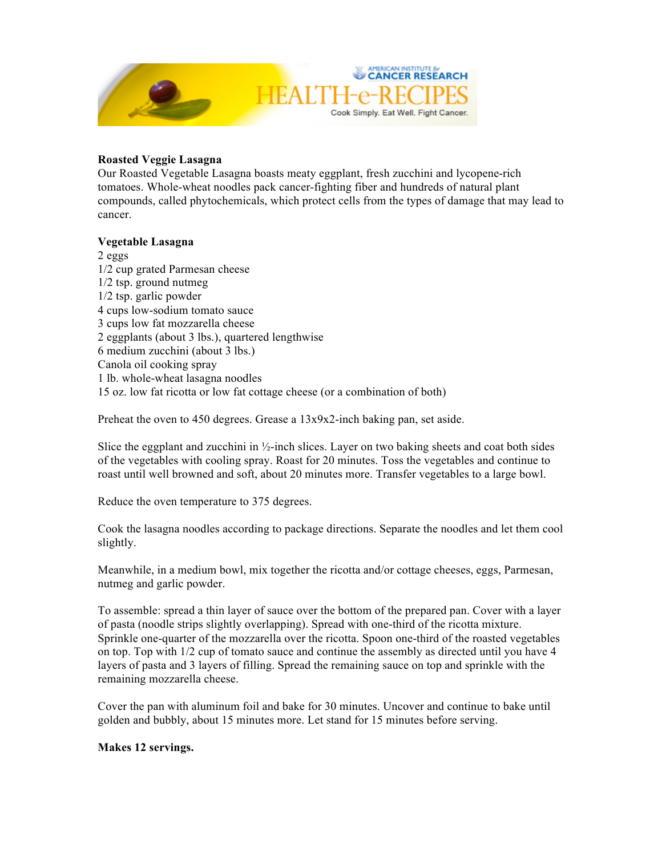

## **Roasted Veggie Lasagna**

Our Roasted Vegetable Lasagna boasts meaty eggplant, fresh zucchini and lycopene-rich tomatoes. Whole-wheat noodles pack cancer-fighting fiber and hundreds of natural plant compounds, called phytochemicals, which protect cells from the types of damage that may lead to cancer.

## **Vegetable Lasagna**

2 eggs 1/2 cup grated Parmesan cheese 1/2 tsp. ground nutmeg 1/2 tsp. garlic powder 4 cups low-sodium tomato sauce 3 cups low fat mozzarella cheese 2 eggplants (about 3 lbs.), quartered lengthwise 6 medium zucchini (about 3 lbs.) Canola oil cooking spray 1 lb. whole-wheat lasagna noodles 15 oz. low fat ricotta or low fat cottage cheese (or a combination of both)

Preheat the oven to 450 degrees. Grease a 13x9x2-inch baking pan, set aside.

Slice the eggplant and zucchini in  $\frac{1}{2}$ -inch slices. Layer on two baking sheets and coat both sides of the vegetables with cooling spray. Roast for 20 minutes. Toss the vegetables and continue to roast until well browned and soft, about 20 minutes more. Transfer vegetables to a large bowl.

Reduce the oven temperature to 375 degrees.

Cook the lasagna noodles according to package directions. Separate the noodles and let them cool slightly.

Meanwhile, in a medium bowl, mix together the ricotta and/or cottage cheeses, eggs, Parmesan, nutmeg and garlic powder.

To assemble: spread a thin layer of sauce over the bottom of the prepared pan. Cover with a layer of pasta (noodle strips slightly overlapping). Spread with one-third of the ricotta mixture. Sprinkle one-quarter of the mozzarella over the ricotta. Spoon one-third of the roasted vegetables on top. Top with 1/2 cup of tomato sauce and continue the assembly as directed until you have 4 layers of pasta and 3 layers of filling. Spread the remaining sauce on top and sprinkle with the remaining mozzarella cheese.

Cover the pan with aluminum foil and bake for 30 minutes. Uncover and continue to bake until golden and bubbly, about 15 minutes more. Let stand for 15 minutes before serving.

## **Makes 12 servings.**